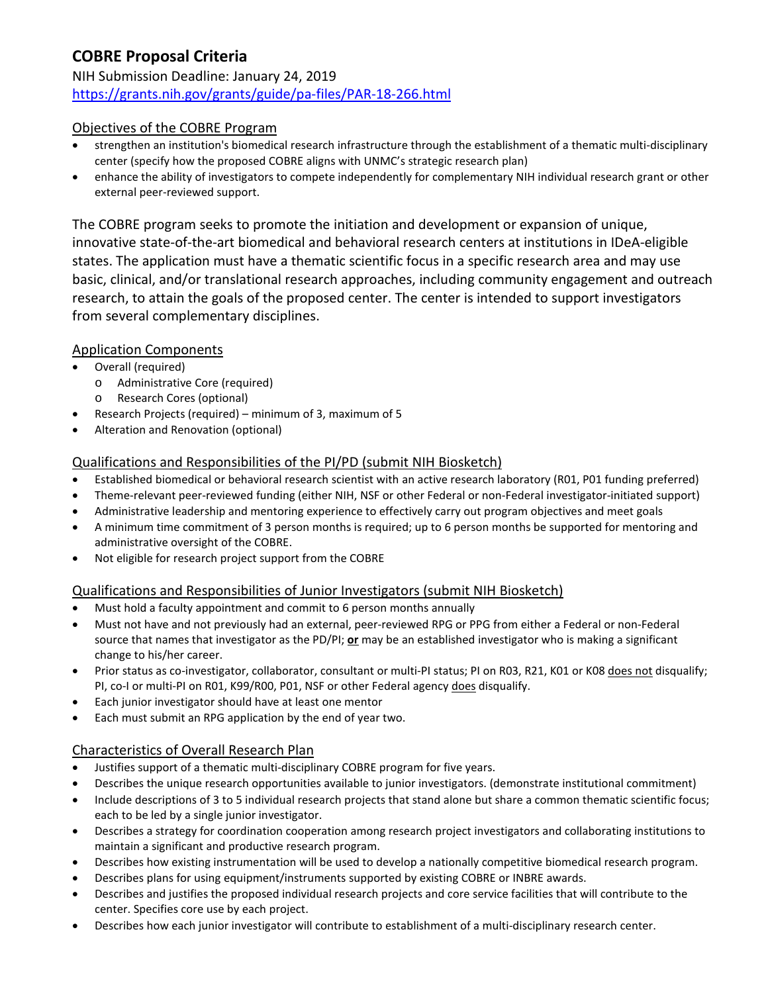# **COBRE Proposal Criteria** NIH Submission Deadline: January 24, 2019 <https://grants.nih.gov/grants/guide/pa-files/PAR-18-266.html>

## Objectives of the COBRE Program

- strengthen an institution's biomedical research infrastructure through the establishment of a thematic multi-disciplinary center (specify how the proposed COBRE aligns with UNMC's strategic research plan)
- enhance the ability of investigators to compete independently for complementary NIH individual research grant or other external peer-reviewed support.

The COBRE program seeks to promote the initiation and development or expansion of unique, innovative state-of-the-art biomedical and behavioral research centers at institutions in IDeA-eligible states. The application must have a thematic scientific focus in a specific research area and may use basic, clinical, and/or translational research approaches, including community engagement and outreach research, to attain the goals of the proposed center. The center is intended to support investigators from several complementary disciplines.

## Application Components

- Overall (required)
	- o Administrative Core (required)
	- o Research Cores (optional)
- Research Projects (required) minimum of 3, maximum of 5
- Alteration and Renovation (optional)

## Qualifications and Responsibilities of the PI/PD (submit NIH Biosketch)

- Established biomedical or behavioral research scientist with an active research laboratory (R01, P01 funding preferred)
- Theme-relevant peer-reviewed funding (either NIH, NSF or other Federal or non-Federal investigator-initiated support)
- Administrative leadership and mentoring experience to effectively carry out program objectives and meet goals
- A minimum time commitment of 3 person months is required; up to 6 person months be supported for mentoring and administrative oversight of the COBRE.
- Not eligible for research project support from the COBRE

## Qualifications and Responsibilities of Junior Investigators (submit NIH Biosketch)

- Must hold a faculty appointment and commit to 6 person months annually
- Must not have and not previously had an external, peer-reviewed RPG or PPG from either a Federal or non-Federal source that names that investigator as the PD/PI; **or** may be an established investigator who is making a significant change to his/her career.
- Prior status as co-investigator, collaborator, consultant or multi-PI status; PI on R03, R21, K01 or K08 does not disqualify; PI, co-I or multi-PI on R01, K99/R00, P01, NSF or other Federal agency does disqualify.
- Each junior investigator should have at least one mentor
- Each must submit an RPG application by the end of year two.

## Characteristics of Overall Research Plan

- Justifies support of a thematic multi-disciplinary COBRE program for five years.
- Describes the unique research opportunities available to junior investigators. (demonstrate institutional commitment)
- Include descriptions of 3 to 5 individual research projects that stand alone but share a common thematic scientific focus; each to be led by a single junior investigator.
- Describes a strategy for coordination cooperation among research project investigators and collaborating institutions to maintain a significant and productive research program.
- Describes how existing instrumentation will be used to develop a nationally competitive biomedical research program.
- Describes plans for using equipment/instruments supported by existing COBRE or INBRE awards.
- Describes and justifies the proposed individual research projects and core service facilities that will contribute to the center. Specifies core use by each project.
- Describes how each junior investigator will contribute to establishment of a multi-disciplinary research center.